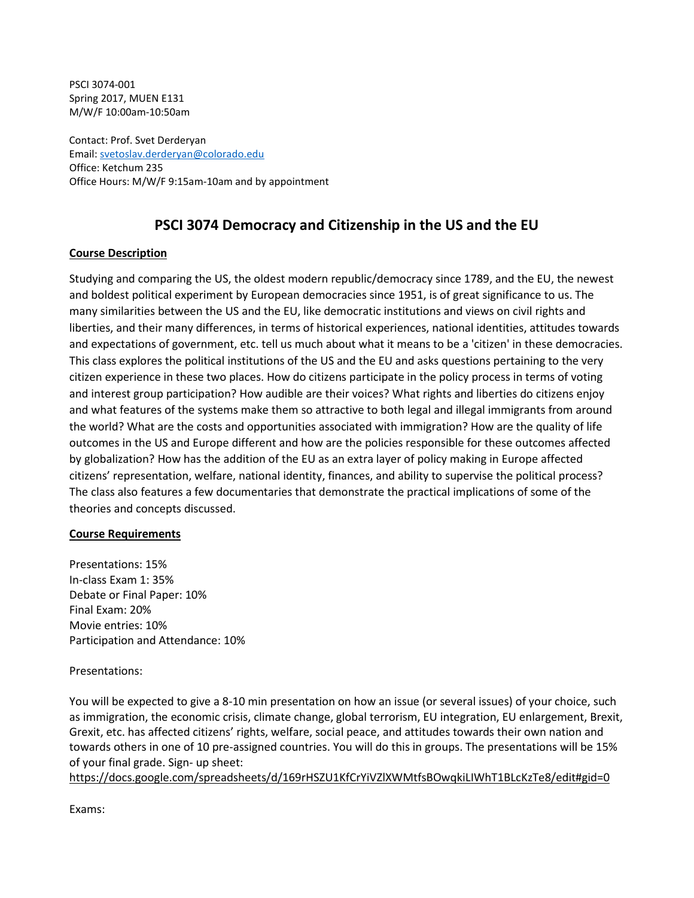PSCI 3074-001 Spring 2017, MUEN E131 M/W/F 10:00am-10:50am

Contact: Prof. Svet Derderyan Email: [svetoslav.derderyan@colorado.edu](mailto:svetoslav.derderyan@colorado.edu) Office: Ketchum 235 Office Hours: M/W/F 9:15am-10am and by appointment

# **PSCI 3074 Democracy and Citizenship in the US and the EU**

### **Course Description**

Studying and comparing the US, the oldest modern republic/democracy since 1789, and the EU, the newest and boldest political experiment by European democracies since 1951, is of great significance to us. The many similarities between the US and the EU, like democratic institutions and views on civil rights and liberties, and their many differences, in terms of historical experiences, national identities, attitudes towards and expectations of government, etc. tell us much about what it means to be а 'citizen' in these democracies. This class explores the political institutions of the US and the EU and asks questions pertaining to the very citizen experience in these two places. How do citizens participate in the policy process in terms of voting and interest group participation? How audible are their voices? What rights and liberties do citizens enjoy and what features of the systems make them so attractive to both legal and illegal immigrants from around the world? What are the costs and opportunities associated with immigration? How are the quality of life outcomes in the US and Europe different and how are the policies responsible for these outcomes affected by globalization? How has the addition of the EU as an extra layer of policy making in Europe affected citizens' representation, welfare, national identity, finances, and ability to supervise the political process? The class also features a few documentaries that demonstrate the practical implications of some of the theories and concepts discussed.

### **Course Requirements**

Presentations: 15% In-class Exam 1: 35% Debate or Final Paper: 10% Final Exam: 20% Movie entries: 10% Participation and Attendance: 10%

Presentations:

You will be expected to give a 8-10 min presentation on how an issue (or several issues) of your choice, such as immigration, the economic crisis, climate change, global terrorism, EU integration, EU enlargement, Brexit, Grexit, etc. has affected citizens' rights, welfare, social peace, and attitudes towards their own nation and towards others in one of 10 pre-assigned countries. You will do this in groups. The presentations will be 15% of your final grade. Sign- up sheet:

[https://docs.google.com/spreadsheets/d/169rHSZU1KfCrYiVZlXWMtf](https://docs.google.com/spreadsheets/d/169rHSZU1KfCrYiVZlXWMtfsBOwqkiLIWhT1BLcKzTe8/edit#gid=0)sBOwqkiLIWhT1BLcKzTe8/edit#gid=0

Exams: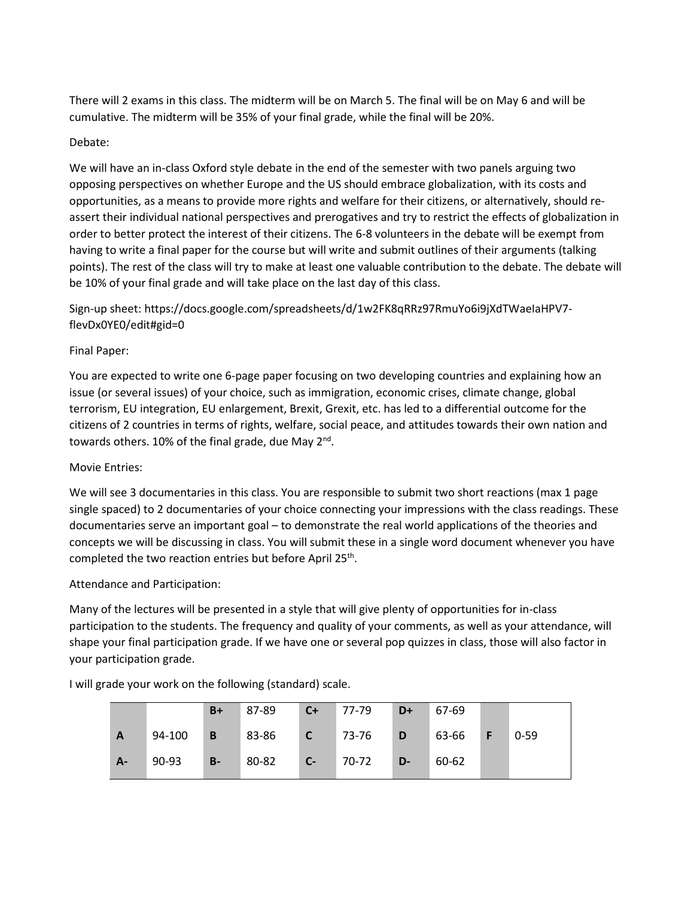There will 2 exams in this class. The midterm will be on March 5. The final will be on May 6 and will be cumulative. The midterm will be 35% of your final grade, while the final will be 20%.

### Debate:

We will have an in-class Oxford style debate in the end of the semester with two panels arguing two opposing perspectives on whether Europe and the US should embrace globalization, with its costs and opportunities, as a means to provide more rights and welfare for their citizens, or alternatively, should reassert their individual national perspectives and prerogatives and try to restrict the effects of globalization in order to better protect the interest of their citizens. The 6-8 volunteers in the debate will be exempt from having to write a final paper for the course but will write and submit outlines of their arguments (talking points). The rest of the class will try to make at least one valuable contribution to the debate. The debate will be 10% of your final grade and will take place on the last day of this class.

Sign-up sheet: https://docs.google.com/spreadsheets/d/1w2FK8qRRz97RmuYo6i9jXdTWaeIaHPV7 flevDx0YE0/edit#gid=0

### Final Paper:

You are expected to write one 6-page paper focusing on two developing countries and explaining how an issue (or several issues) of your choice, such as immigration, economic crises, climate change, global terrorism, EU integration, EU enlargement, Brexit, Grexit, etc. has led to a differential outcome for the citizens of 2 countries in terms of rights, welfare, social peace, and attitudes towards their own nation and towards others. 10% of the final grade, due May  $2^{nd}$ .

# Movie Entries:

We will see 3 documentaries in this class. You are responsible to submit two short reactions (max 1 page single spaced) to 2 documentaries of your choice connecting your impressions with the class readings. These documentaries serve an important goal – to demonstrate the real world applications of the theories and concepts we will be discussing in class. You will submit these in a single word document whenever you have completed the two reaction entries but before April 25<sup>th</sup>.

Attendance and Participation:

Many of the lectures will be presented in a style that will give plenty of opportunities for in-class participation to the students. The frequency and quality of your comments, as well as your attendance, will shape your final participation grade. If we have one or several pop quizzes in class, those will also factor in your participation grade.

**B+** 87-89 **C+** 77-79 **D+** 67-69 **A** 94-100 **B** 83-86 **C** 73-76 **D** 63-66 **F** 0-59 **A-** 90-93 **B-** 80-82 **C-** 70-72 **D-** 60-62

I will grade your work on the following (standard) scale.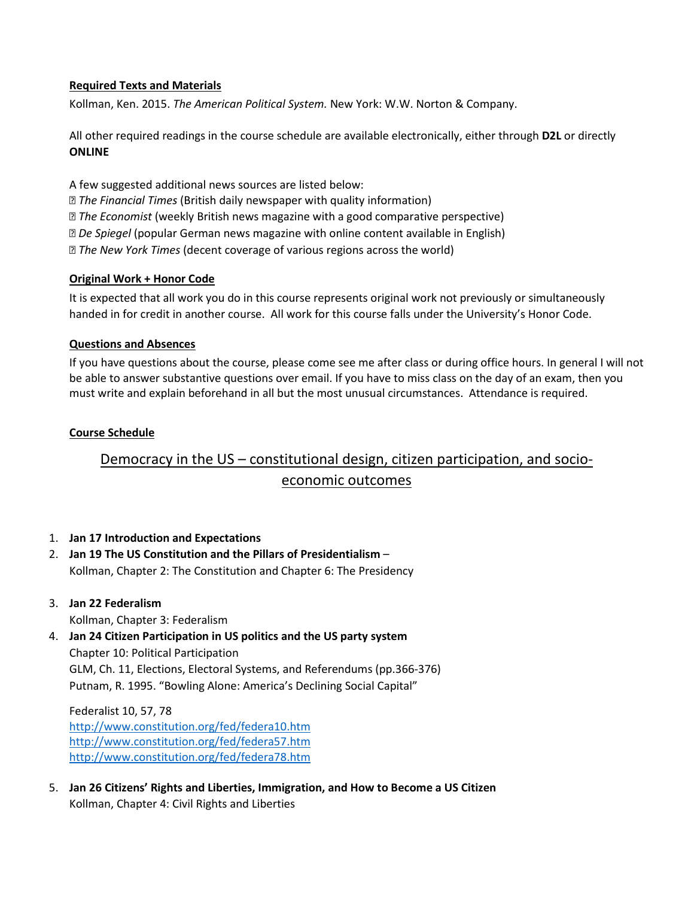### **Required Texts and Materials**

Kollman, Ken. 2015. *The American Political System.* New York: W.W. Norton & Company.

All other required readings in the course schedule are available electronically, either through **D2L** or directly **ONLINE**

- A few suggested additional news sources are listed below:
- *The Financial Times* (British daily newspaper with quality information)
- *The Economist* (weekly British news magazine with a good comparative perspective)
- *De Spiegel* (popular German news magazine with online content available in English)
- *The New York Times* (decent coverage of various regions across the world)

### **Original Work + Honor Code**

It is expected that all work you do in this course represents original work not previously or simultaneously handed in for credit in another course. All work for this course falls under the University's Honor Code.

### **Questions and Absences**

If you have questions about the course, please come see me after class or during office hours. In general I will not be able to answer substantive questions over email. If you have to miss class on the day of an exam, then you must write and explain beforehand in all but the most unusual circumstances. Attendance is required.

### **Course Schedule**

# Democracy in the US – constitutional design, citizen participation, and socioeconomic outcomes

### 1. **Jan 17 Introduction and Expectations**

2. **Jan 19 The US Constitution and the Pillars of Presidentialism** – Kollman, Chapter 2: The Constitution and Chapter 6: The Presidency

# 3. **Jan 22 Federalism**

Kollman, Chapter 3: Federalism

4. **Jan 24 Citizen Participation in US politics and the US party system** Chapter 10: Political Participation GLM, Ch. 11, Elections, Electoral Systems, and Referendums (pp.366-376) Putnam, R. 1995. "Bowling Alone: America's Declining Social Capital"

Federalist 10, 57, 78 <http://www.constitution.org/fed/federa10.htm> <http://www.constitution.org/fed/federa57.htm> <http://www.constitution.org/fed/federa78.htm>

5. **Jan 26 Citizens' Rights and Liberties, Immigration, and How to Become a US Citizen** Kollman, Chapter 4: Civil Rights and Liberties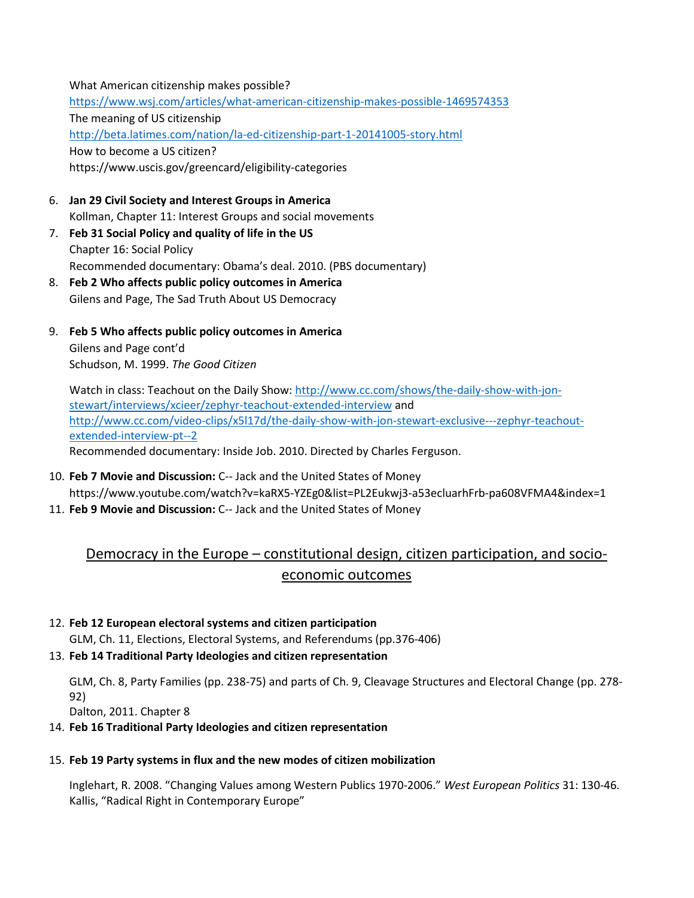What American citizenship makes possible? [https://www.wsj.com/articles/what](https://www.wsj.com/articles/what-american-citizenship-makes-possible-1469574353)-american-citizenship-makes-possible-1469574353 The meaning of US citizenship [http://beta.latimes.com/nation/la-ed-](http://beta.latimes.com/nation/la-ed-citizenship-part-1-20141005-story.html)citizenship-part-1-20141005-story.html How to become a US citizen? https://www.uscis.gov/greencard/eligibility-categories

- 6. **Jan 29 Civil Society and Interest Groups in America** Kollman, Chapter 11: Interest Groups and social movements
- 7. **Feb 31 Social Policy and quality of life in the US** Chapter 16: Social Policy Recommended documentary: Obama's deal. 2010. (PBS documentary)
- 8. **Feb 2 Who affects public policy outcomes in America** Gilens and Page, The Sad Truth About US Democracy
- 9. **Feb 5 Who affects public policy outcomes in America** Gilens and Page cont'd

Schudson, M. 1999. *The Good Citizen*

Watch in class: Teachout on the Daily Show: [http://www.cc.com/shows/the-daily-show-with-](http://www.cc.com/shows/the-daily-show-with-jon-stewart/interviews/xcieer/zephyr-teachout-extended-interview)jon[stewart/interviews/xcieer/zephyr](http://www.cc.com/shows/the-daily-show-with-jon-stewart/interviews/xcieer/zephyr-teachout-extended-interview)-teachout-extended-interview and [http://www.cc.com/video-clips/x5l17d/the-daily-show-with-](http://www.cc.com/video-clips/x5l17d/the-daily-show-with-jon-stewart-exclusive---zephyr-teachout-extended-interview-pt--2)jon-stewart-exclusive---zephyr-teachout[extended-interview-pt--2](http://www.cc.com/video-clips/x5l17d/the-daily-show-with-jon-stewart-exclusive---zephyr-teachout-extended-interview-pt--2) Recommended documentary: Inside Job. 2010. Directed by Charles Ferguson.

- 10. **Feb 7 Movie and Discussion:** C-- Jack and the United States of Money https://www.youtube.com/watch?v=kaRX5-YZEg0&list=PL2Eukwj3-a53ecluarhFrb-pa608VFMA4&index=1
- 11. **Feb 9 Movie and Discussion:** C-- Jack and the United States of Money

# Democracy in the Europe – constitutional design, citizen participation, and socioeconomic outcomes

# 12. **Feb 12 European electoral systems and citizen participation**

GLM, Ch. 11, Elections, Electoral Systems, and Referendums (pp.376-406)

# 13. **Feb 14 Traditional Party Ideologies and citizen representation**

GLM, Ch. 8, Party Families (pp. 238-75) and parts of Ch. 9, Cleavage Structures and Electoral Change (pp. 278- 92)

Dalton, 2011. Chapter 8

# 14. **Feb 16 Traditional Party Ideologies and citizen representation**

# 15. **Feb 19 Party systems in flux and the new modes of citizen mobilization**

Inglehart, R. 2008. "Changing Values among Western Publics 1970-2006." *West European Politics* 31: 130-46. Kallis, "Radical Right in Contemporary Europe"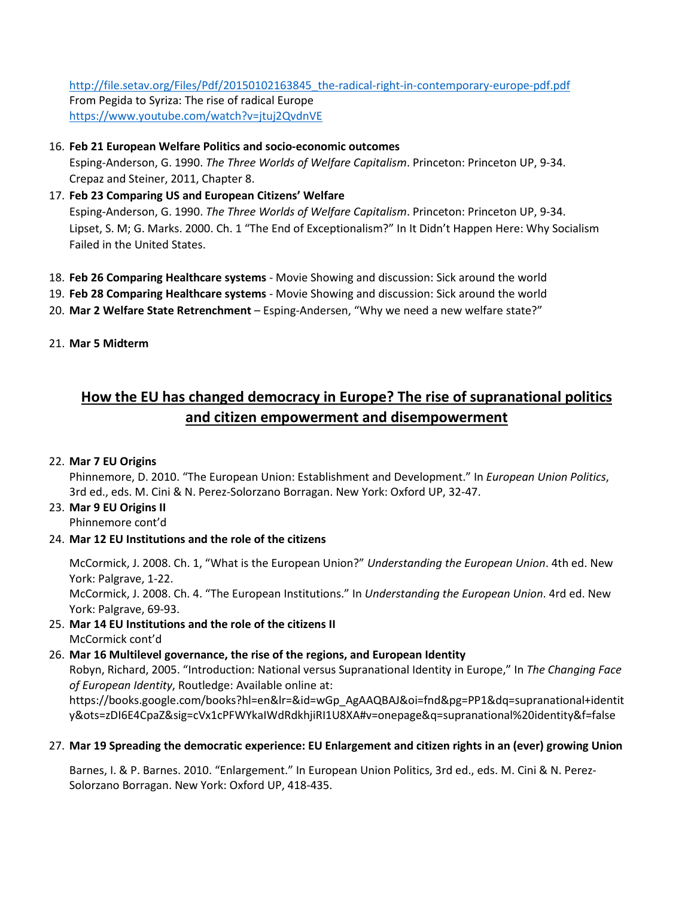[http://file.setav.org/Files/Pdf/20150102163845\\_the-radical-right-in-contemporary-europe-pdf.pdf](http://file.setav.org/Files/Pdf/20150102163845_the-radical-right-in-contemporary-europe-pdf.pdf) From Pegida to Syriza: The rise of radical Europe <https://www.youtube.com/watch?v=jtuj2QvdnVE>

## 16. **Feb 21 European Welfare Politics and socio-economic outcomes**

Esping-Anderson, G. 1990. *The Three Worlds of Welfare Capitalism*. Princeton: Princeton UP, 9-34. Crepaz and Steiner, 2011, Chapter 8.

17. **Feb 23 Comparing US and European Citizens' Welfare** Esping-Anderson, G. 1990. *The Three Worlds of Welfare Capitalism*. Princeton: Princeton UP, 9-34. Lipset, S. M; G. Marks. 2000. Ch. 1 "The End of Exceptionalism?" In It Didn't Happen Here: Why Socialism

Failed in the United States.

- 18. **Feb 26 Comparing Healthcare systems** Movie Showing and discussion: Sick around the world
- 19. **Feb 28 Comparing Healthcare systems** Movie Showing and discussion: Sick around the world
- 20. **Mar 2 Welfare State Retrenchment**  Esping-Andersen, "Why we need a new welfare state?"
- 21. **Mar 5 Midterm**

# **How the EU has changed democracy in Europe? The rise of supranational politics and citizen empowerment and disempowerment**

### 22. **Mar 7 EU Origins**

Phinnemore, D. 2010. "The European Union: Establishment and Development." In *European Union Politics*, 3rd ed., eds. M. Cini & N. Perez-Solorzano Borragan. New York: Oxford UP, 32-47.

# 23. **Mar 9 EU Origins II**

Phinnemore cont'd

24. **Mar 12 EU Institutions and the role of the citizens**

McCormick, J. 2008. Ch. 1, "What is the European Union?" *Understanding the European Union*. 4th ed. New York: Palgrave, 1-22.

McCormick, J. 2008. Ch. 4. "The European Institutions." In *Understanding the European Union*. 4rd ed. New York: Palgrave, 69-93.

25. **Mar 14 EU Institutions and the role of the citizens II** McCormick cont'd

# 26. **Mar 16 Multilevel governance, the rise of the regions, and European Identity** Robyn, Richard, 2005. "Introduction: National versus Supranational Identity in Europe," In *The Changing Face of European Identity*, Routledge: Available online at: https://books.google.com/books?hl=en&lr=&id=wGp\_AgAAQBAJ&oi=fnd&pg=PP1&dq=supranational+identit y&ots=zDI6E4CpaZ&sig=cVx1cPFWYkaIWdRdkhjiRI1U8XA#v=onepage&q=supranational%20identity&f=false

### 27. **Mar 19 Spreading the democratic experience: EU Enlargement and citizen rights in an (ever) growing Union**

Barnes, I. & P. Barnes. 2010. "Enlargement." In European Union Politics, 3rd ed., eds. M. Cini & N. Perez-Solorzano Borragan. New York: Oxford UP, 418-435.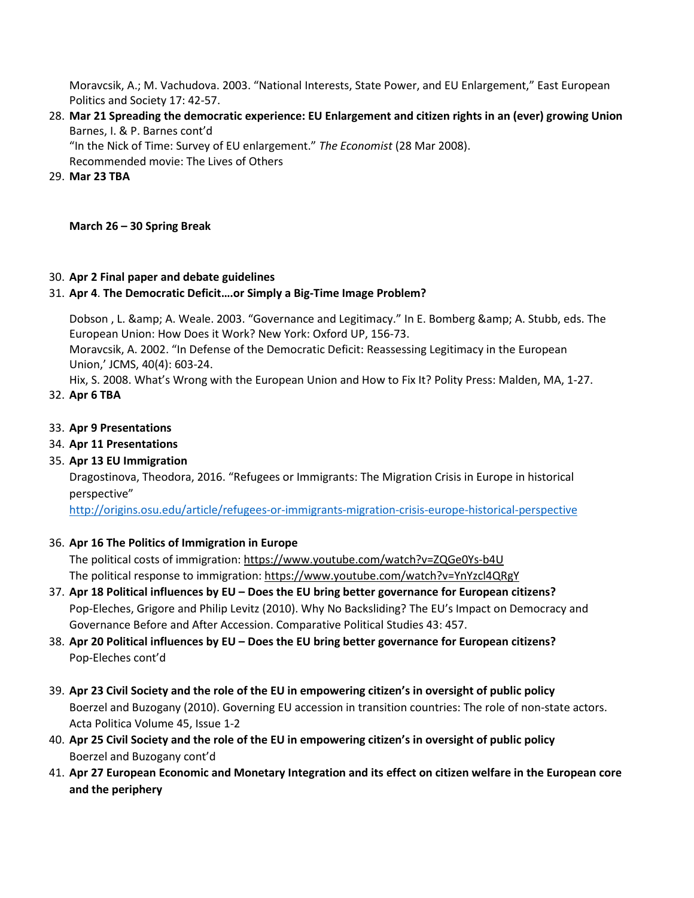Moravcsik, A.; M. Vachudova. 2003. "National Interests, State Power, and EU Enlargement," East European Politics and Society 17: 42-57.

28. **Mar 21 Spreading the democratic experience: EU Enlargement and citizen rights in an (ever) growing Union**  Barnes, I. & P. Barnes cont'd

"In the Nick of Time: Survey of EU enlargement." *The Economist* (28 Mar 2008). Recommended movie: The Lives of Others

29. **Mar 23 TBA**

**March 26 – 30 Spring Break**

# 30. **Apr 2 Final paper and debate guidelines**

### 31. **Apr 4**. **The Democratic Deficit….or Simply a Big-Time Image Problem?**

Dobson, L. & amp; A. Weale. 2003. "Governance and Legitimacy." In E. Bomberg & amp; A. Stubb, eds. The European Union: How Does it Work? New York: Oxford UP, 156-73. Moravcsik, A. 2002. "In Defense of the Democratic Deficit: Reassessing Legitimacy in the European Union,' JCMS, 40(4): 603-24.

Hix, S. 2008. What's Wrong with the European Union and How to Fix It? Polity Press: Malden, MA, 1-27.

- 32. **Apr 6 TBA**
- 33. **Apr 9 Presentations**
- 34. **Apr 11 Presentations**
- 35. **Apr 13 EU Immigration**

Dragostinova, Theodora, 2016. "Refugees or Immigrants: The Migration Crisis in Europe in historical perspective"

<http://origins.osu.edu/article/refugees-or-immigrants-migration-crisis-europe-historical-perspective>

### 36. **Apr 16 The Politics of Immigration in Europe**

The political costs of immigration: [https://www.youtube.com/watch?v=ZQGe0Ys](https://www.youtube.com/watch?v=ZQGe0Ys-b4U)-b4U The political response to immigration: https://www.youtube.com/watch?v=YnYzcl4QRgY

- 37. **Apr 18 Political influences by EU – Does the EU bring better governance for European citizens?** Pop-Eleches, Grigore and Philip Levitz (2010). Why No Backsliding? The EU's Impact on Democracy and Governance Before and After Accession. Comparative Political Studies 43: 457.
- 38. **Apr 20 Political influences by EU – Does the EU bring better governance for European citizens?**  Pop-Eleches cont'd
- 39. **Apr 23 Civil Society and the role of the EU in empowering citizen's in oversight of public policy** Boerzel and Buzogany (2010). Governing EU accession in transition countries: The role of non-state actors. Acta Politica Volume 45, Issue 1-2
- 40. **Apr 25 Civil Society and the role of the EU in empowering citizen's in oversight of public policy** Boerzel and Buzogany cont'd
- 41. **Apr 27 European Economic and Monetary Integration and its effect on citizen welfare in the European core and the periphery**